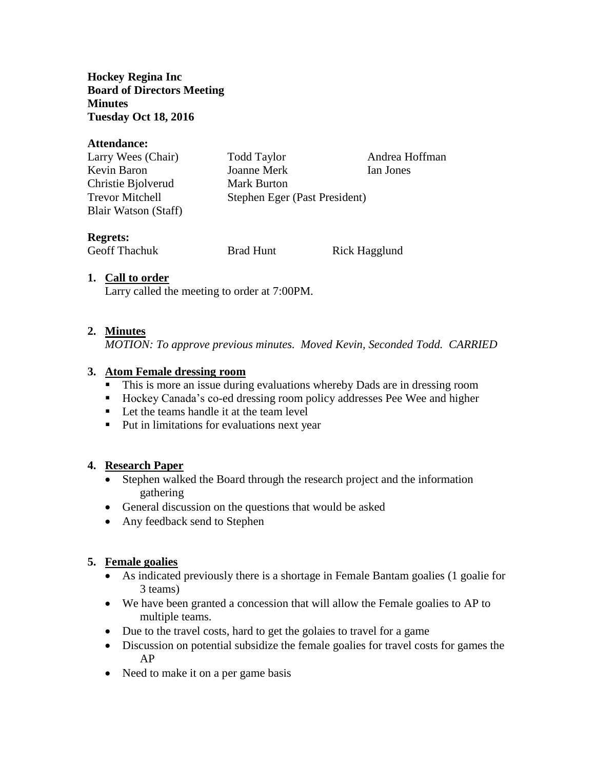**Hockey Regina Inc Board of Directors Meeting Minutes Tuesday Oct 18, 2016**

#### **Attendance:**

| Larry Wees (Chair)     | <b>Todd Taylor</b>            | Andrea Hoffman |
|------------------------|-------------------------------|----------------|
| Kevin Baron            | Joanne Merk                   | Ian Jones      |
| Christie Bjolverud     | Mark Burton                   |                |
| <b>Trevor Mitchell</b> | Stephen Eger (Past President) |                |
| Blair Watson (Staff)   |                               |                |

### **Regrets:**

Geoff Thachuk Brad Hunt Rick Hagglund

# **1. Call to order**

Larry called the meeting to order at 7:00PM.

# **2. Minutes**

*MOTION: To approve previous minutes. Moved Kevin, Seconded Todd. CARRIED*

### **3. Atom Female dressing room**

- This is more an issue during evaluations whereby Dads are in dressing room
- Hockey Canada's co-ed dressing room policy addresses Pee Wee and higher
- Let the teams handle it at the team level
- Put in limitations for evaluations next year

# **4. Research Paper**

- Stephen walked the Board through the research project and the information gathering
- General discussion on the questions that would be asked
- Any feedback send to Stephen

# **5. Female goalies**

- As indicated previously there is a shortage in Female Bantam goalies (1 goalie for 3 teams)
- We have been granted a concession that will allow the Female goalies to AP to multiple teams.
- Due to the travel costs, hard to get the golaies to travel for a game
- Discussion on potential subsidize the female goalies for travel costs for games the AP
- Need to make it on a per game basis